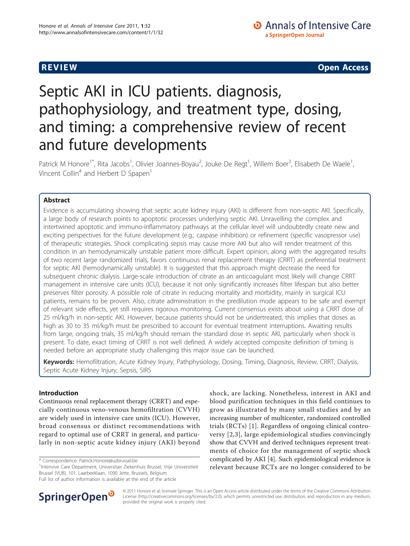**REVIEW REVIEW CONSTRUCTER CONSTRUCTION** 

# Septic AKI in ICU patients. diagnosis, pathophysiology, and treatment type, dosing, and timing: a comprehensive review of recent and future developments

Patrick M Honore<sup>1\*</sup>, Rita Jacobs<sup>1</sup>, Olivier Joannes-Boyau<sup>2</sup>, Jouke De Regt<sup>1</sup>, Willem Boer<sup>3</sup>, Elisabeth De Waele<sup>1</sup> , Vincent Collin<sup>4</sup> and Herbert D Spapen<sup>1</sup>

# Abstract

Evidence is accumulating showing that septic acute kidney injury (AKI) is different from non-septic AKI. Specifically, a large body of research points to apoptotic processes underlying septic AKI. Unravelling the complex and intertwined apoptotic and immuno-inflammatory pathways at the cellular level will undoubtedly create new and exciting perspectives for the future development (e.g., caspase inhibition) or refinement (specific vasopressor use) of therapeutic strategies. Shock complicating sepsis may cause more AKI but also will render treatment of this condition in an hemodynamically unstable patient more difficult. Expert opinion, along with the aggregated results of two recent large randomized trials, favors continuous renal replacement therapy (CRRT) as preferential treatment for septic AKI (hemodynamically unstable). It is suggested that this approach might decrease the need for subsequent chronic dialysis. Large-scale introduction of citrate as an anticoagulant most likely will change CRRT management in intensive care units (ICU), because it not only significantly increases filter lifespan but also better preserves filter porosity. A possible role of citrate in reducing mortality and morbidity, mainly in surgical ICU patients, remains to be proven. Also, citrate administration in the predilution mode appears to be safe and exempt of relevant side effects, yet still requires rigorous monitoring. Current consensus exists about using a CRRT dose of 25 ml/kg/h in non-septic AKI. However, because patients should not be undertreated, this implies that doses as high as 30 to 35 ml/kg/h must be prescribed to account for eventual treatment interruptions. Awaiting results from large, ongoing trials, 35 ml/kg/h should remain the standard dose in septic AKI, particularly when shock is present. To date, exact timing of CRRT is not well defined. A widely accepted composite definition of timing is needed before an appropriate study challenging this major issue can be launched.

Keywords: Hemofiltration, Acute Kidney Injury, Pathphysiology, Dosing, Timing, Diagnosis, Review, CRRT, Dialysis, Septic Acute Kidney Injury, Sepsis, SIRS

# Introduction

Continuous renal replacement therapy (CRRT) and especially continuous veno-venous hemofiltration (CVVH) are widely used in intensive care units (ICU). However, broad consensus or distinct recommendations with regard to optimal use of CRRT in general, and particularly in non-septic acute kidney injury (AKI) beyond

<sup>1</sup>Intensive Care Department, Universitair Ziekenhuis Brussel, Vrije Universitieit Brussel (VUB), 101, Laarbeeklaan, 1090 Jette, Brussels, Belgium Full list of author information is available at the end of the article



© 2011 Honore et al; licensee Springer. This is an Open Access article distributed under the terms of the Creative Commons Attribution License [\(http://creativecommons.org/licenses/by/2.0](http://creativecommons.org/licenses/by/2.0)), which permits unrestricted use, distribution, and reproduction in any medium, provided the original work is properly cited.

<sup>\*</sup> Correspondence: [Patrick.Honore@uzbrussel.be](mailto:Patrick.Honore@uzbrussel.be)

shock, are lacking. Nonetheless, interest in AKI and blood purification techniques in this field continues to grow as illustrated by many small studies and by an increasing number of multicenter, randomized controlled trials (RCTs) [[1](#page-6-0)]. Regardless of ongoing clinical controversy [\[2,3](#page-6-0)], large epidemiological studies convincingly show that CVVH and derived techniques represent treatments of choice for the management of septic shock complicated by AKI [[4\]](#page-6-0). Such epidemiological evidence is relevant because RCTs are no longer considered to be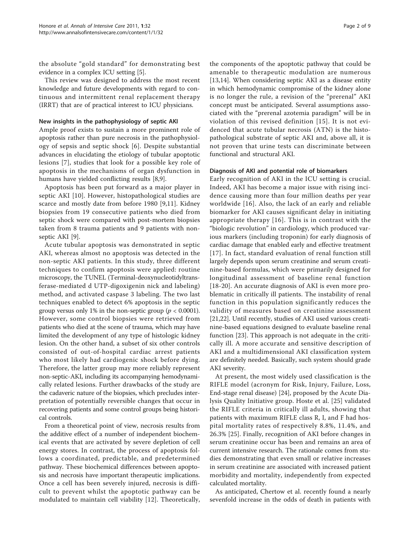the absolute "gold standard" for demonstrating best evidence in a complex ICU setting [\[5](#page-6-0)].

This review was designed to address the most recent knowledge and future developments with regard to continuous and intermittent renal replacement therapy (IRRT) that are of practical interest to ICU physicians.

#### New insights in the pathophysiology of septic AKI

Ample proof exists to sustain a more prominent role of apoptosis rather than pure necrosis in the pathophysiology of sepsis and septic shock [[6\]](#page-6-0). Despite substantial advances in elucidating the etiology of tubular apoptotic lesions [[7\]](#page-6-0), studies that look for a possible key role of apoptosis in the mechanisms of organ dysfunction in humans have yielded conflicting results [[8,9\]](#page-6-0).

Apoptosis has been put forward as a major player in septic AKI [\[10](#page-6-0)]. However, histopathological studies are scarce and mostly date from before 1980 [[9,11\]](#page-6-0). Kidney biopsies from 19 consecutive patients who died from septic shock were compared with post-mortem biopsies taken from 8 trauma patients and 9 patients with nonseptic AKI [\[9](#page-6-0)].

Acute tubular apoptosis was demonstrated in septic AKI, whereas almost no apoptosis was detected in the non-septic AKI patients. In this study, three different techniques to confirm apoptosis were applied: routine microscopy, the TUNEL (Terminal-deoxynucleotidyltransferase-mediated d UTP-digoxigenin nick and labeling) method, and activated caspase 3 labeling. The two last techniques enabled to detect 6% apoptosis in the septic group versus only 1% in the non-septic group ( $p < 0.0001$ ). However, some control biopsies were retrieved from patients who died at the scene of trauma, which may have limited the development of any type of histologic kidney lesion. On the other hand, a subset of six other controls consisted of out-of-hospital cardiac arrest patients who most likely had cardiogenic shock before dying. Therefore, the latter group may more reliably represent non-septic-AKI, including its accompanying hemodynamically related lesions. Further drawbacks of the study are the cadaveric nature of the biopsies, which precludes interpretation of potentially reversible changes that occur in recovering patients and some control groups being historical controls.

From a theoretical point of view, necrosis results from the additive effect of a number of independent biochemical events that are activated by severe depletion of cell energy stores. In contrast, the process of apoptosis follows a coordinated, predictable, and predetermined pathway. These biochemical differences between apoptosis and necrosis have important therapeutic implications. Once a cell has been severely injured, necrosis is difficult to prevent whilst the apoptotic pathway can be modulated to maintain cell viability [\[12](#page-6-0)]. Theoretically,

the components of the apoptotic pathway that could be amenable to therapeutic modulation are numerous [[13,14\]](#page-6-0). When considering septic AKI as a disease entity in which hemodynamic compromise of the kidney alone is no longer the rule, a revision of the "prerenal" AKI concept must be anticipated. Several assumptions associated with the "prerenal azotemia paradigm" will be in violation of this revised definition [[15](#page-6-0)]. It is not evidenced that acute tubular necrosis (ATN) is the histopathological substrate of septic AKI and, above all, it is not proven that urine tests can discriminate between functional and structural AKI.

#### Diagnosis of AKI and potential role of biomarkers

Early recognition of AKI in the ICU setting is crucial. Indeed, AKI has become a major issue with rising incidence causing more than four million deaths per year worldwide [\[16\]](#page-6-0). Also, the lack of an early and reliable biomarker for AKI causes significant delay in initiating appropriate therapy [[16](#page-6-0)]. This is in contrast with the "biologic revolution" in cardiology, which produced various markers (including troponin) for early diagnosis of cardiac damage that enabled early and effective treatment [[17](#page-6-0)]. In fact, standard evaluation of renal function still largely depends upon serum creatinine and serum creatinine-based formulas, which were primarily designed for longitudinal assessment of baseline renal function [[18-20\]](#page-6-0). An accurate diagnosis of AKI is even more problematic in critically ill patients. The instability of renal function in this population significantly reduces the validity of measures based on creatinine assessment [[21,22\]](#page-6-0). Until recently, studies of AKI used various creatinine-based equations designed to evaluate baseline renal function [\[23](#page-6-0)]. This approach is not adequate in the critically ill. A more accurate and sensitive description of AKI and a multidimensional AKI classification system are definitely needed. Basically, such system should grade AKI severity.

At present, the most widely used classification is the RIFLE model (acronym for Risk, Injury, Failure, Loss, End-stage renal disease) [\[24\]](#page-6-0), proposed by the Acute Dialysis Quality Initiative group. Hoste et al. [[25\]](#page-6-0) validated the RIFLE criteria in critically ill adults, showing that patients with maximum RIFLE class R, I, and F had hospital mortality rates of respectively 8.8%, 11.4%, and 26.3% [[25\]](#page-6-0). Finally, recognition of AKI before changes in serum creatinine occur has been and remains an area of current intensive research. The rationale comes from studies demonstrating that even small or relative increases in serum creatinine are associated with increased patient morbidity and mortality, independently from expected calculated mortality.

As anticipated, Chertow et al. recently found a nearly sevenfold increase in the odds of death in patients with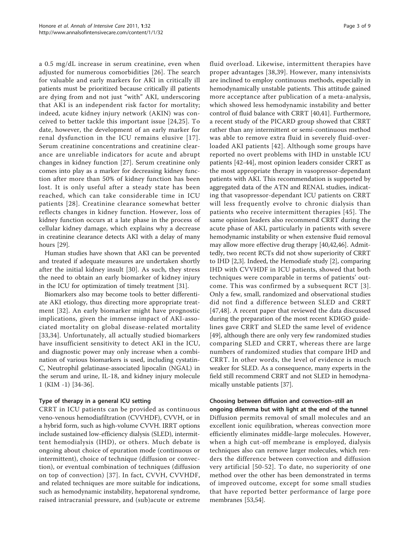a 0.5 mg/dL increase in serum creatinine, even when adjusted for numerous comorbidities [[26\]](#page-6-0). The search for valuable and early markers for AKI in critically ill patients must be prioritized because critically ill patients are dying from and not just "with" AKI, underscoring that AKI is an independent risk factor for mortality; indeed, acute kidney injury network (AKIN) was conceived to better tackle this important issue [[24](#page-6-0),[25\]](#page-6-0). To date, however, the development of an early marker for renal dysfunction in the ICU remains elusive [[17\]](#page-6-0). Serum creatinine concentrations and creatinine clearance are unreliable indicators for acute and abrupt changes in kidney function [[27](#page-6-0)]. Serum creatinine only comes into play as a marker for decreasing kidney function after more than 50% of kidney function has been lost. It is only useful after a steady state has been reached, which can take considerable time in ICU patients [\[28](#page-6-0)]. Creatinine clearance somewhat better reflects changes in kidney function. However, loss of kidney function occurs at a late phase in the process of cellular kidney damage, which explains why a decrease in creatinine clearance detects AKI with a delay of many hours [\[29\]](#page-6-0).

Human studies have shown that AKI can be prevented and treated if adequate measures are undertaken shortly after the initial kidney insult [\[30\]](#page-6-0). As such, they stress the need to obtain an early biomarker of kidney injury in the ICU for optimization of timely treatment [\[31](#page-6-0)].

Biomarkers also may become tools to better differentiate AKI etiology, thus directing more appropriate treatment [[32](#page-6-0)]. An early biomarker might have prognostic implications, given the immense impact of AKI-associated mortality on global disease-related mortality [[33](#page-6-0),[34\]](#page-6-0). Unfortunately, all actually studied biomarkers have insufficient sensitivity to detect AKI in the ICU, and diagnostic power may only increase when a combination of various biomarkers is used, including cystatin-C, Neutrophil gelatinase-associated lipocalin (NGAL) in the serum and urine, IL-18, and kidney injury molecule 1 (KIM -1) [\[34-36](#page-6-0)].

# Type of therapy in a general ICU setting

CRRT in ICU patients can be provided as continuous veno-venous hemodiafiltration (CVVHDF), CVVH, or in a hybrid form, such as high-volume CVVH. IRRT options include sustained low-efficiency dialysis (SLED), intermittent hemodialysis (IHD), or others. Much debate is ongoing about choice of epuration mode (continuous or intermittent), choice of technique (diffusion or convection), or eventual combination of techniques (diffusion on top of convection) [[37\]](#page-6-0). In fact, CVVH, CVVHDF, and related techniques are more suitable for indications, such as hemodynamic instability, hepatorenal syndrome, raised intracranial pressure, and (sub)acute or extreme

fluid overload. Likewise, intermittent therapies have proper advantages [\[38,39](#page-7-0)]. However, many intensivists are inclined to employ continuous methods, especially in hemodynamically unstable patients. This attitude gained more acceptance after publication of a meta-analysis, which showed less hemodynamic instability and better control of fluid balance with CRRT [\[40,41](#page-7-0)]. Furthermore, a recent study of the PICARD group showed that CRRT rather than any intermittent or semi-continuous method was able to remove extra fluid in severely fluid-overloaded AKI patients [[42](#page-7-0)]. Although some groups have reported no overt problems with IHD in unstable ICU patients [\[42](#page-7-0)-[44\]](#page-7-0), most opinion leaders consider CRRT as the most appropriate therapy in vasopressor-dependant patients with AKI. This recommendation is supported by aggregated data of the ATN and RENAL studies, indicating that vasopressor-dependant ICU patients on CRRT will less frequently evolve to chronic dialysis than patients who receive intermittent therapies [[45](#page-7-0)]. The same opinion leaders also recommend CRRT during the acute phase of AKI, particularly in patients with severe hemodynamic instability or when extensive fluid removal may allow more effective drug therapy [\[40,42,46\]](#page-7-0). Admittedly, two recent RCTs did not show superiority of CRRT to IHD [\[2,3](#page-6-0)]. Indeed, the Hemodiafe study [\[2](#page-6-0)], comparing IHD with CVVHDF in ICU patients, showed that both techniques were comparable in terms of patients' outcome. This was confirmed by a subsequent RCT [[3\]](#page-6-0). Only a few, small, randomized and observational studies did not find a difference between SLED and CRRT [[47,48](#page-7-0)]. A recent paper that reviewed the data discussed during the preparation of the most recent KDIGO guidelines gave CRRT and SLED the same level of evidence [[49\]](#page-7-0), although there are only very few randomized studies comparing SLED and CRRT, whereas there are large numbers of randomized studies that compare IHD and CRRT. In other words, the level of evidence is much weaker for SLED. As a consequence, many experts in the field still recommend CRRT and not SLED in hemodynamically unstable patients [[37\]](#page-6-0).

# Choosing between diffusion and convection–still an

ongoing dilemma but with light at the end of the tunnel Diffusion permits removal of small molecules and an excellent ionic equilibration, whereas convection more efficiently eliminates middle-large molecules. However, when a high cut-off membrane is employed, dialysis techniques also can remove larger molecules, which renders the difference between convection and diffusion very artificial [[50-52\]](#page-7-0). To date, no superiority of one method over the other has been demonstrated in terms of improved outcome, except for some small studies that have reported better performance of large pore membranes [\[53,54](#page-7-0)].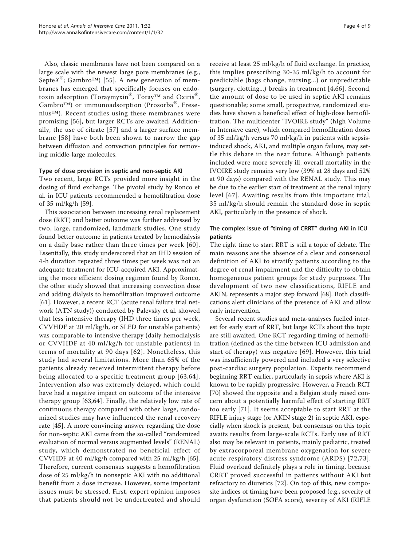Also, classic membranes have not been compared on a large scale with the newest large pore membranes (e.g., Septe $X^{\mathfrak{B}}$ ; Gambro<sup>TM</sup>) [\[55\]](#page-7-0). A new generation of membranes has emerged that specifically focuses on endotoxin adsorption (Toraymyxin<sup>®</sup>, Toray<sup>™</sup> and Oxiris<sup>®</sup>, Gambro™) or immunoadsorption (Prosorba®, Fresenius™). Recent studies using these membranes were promising [[56\]](#page-7-0), but larger RCTs are awaited. Additionally, the use of citrate [[57\]](#page-7-0) and a larger surface membrane [[58](#page-7-0)] have both been shown to narrow the gap between diffusion and convection principles for removing middle-large molecules.

#### Type of dose provision in septic and non-septic AKI

Two recent, large RCTs provided more insight in the dosing of fluid exchange. The pivotal study by Ronco et al. in ICU patients recommended a hemofiltration dose of 35 ml/kg/h [[59\]](#page-7-0).

This association between increasing renal replacement dose (RRT) and better outcome was further addressed by two, large, randomized, landmark studies. One study found better outcome in patients treated by hemodialysis on a daily base rather than three times per week [[60\]](#page-7-0). Essentially, this study underscored that an IHD session of 4-h duration repeated three times per week was not an adequate treatment for ICU-acquired AKI. Approximating the more efficient dosing regimen found by Ronco, the other study showed that increasing convection dose and adding dialysis to hemofiltration improved outcome [[61\]](#page-7-0). However, a recent RCT (acute renal failure trial network (ATN study)) conducted by Palevsky et al. showed that less intensive therapy (IHD three times per week, CVVHDF at 20 ml/kg/h, or SLED for unstable patients) was comparable to intensive therapy (daily hemodialysis or CVVHDF at 40 ml/kg/h for unstable patients) in terms of mortality at 90 days [[62](#page-7-0)]. Nonetheless, this study had several limitations. More than 65% of the patients already received intermittent therapy before being allocated to a specific treatment group [[63,64\]](#page-7-0). Intervention also was extremely delayed, which could have had a negative impact on outcome of the intensive therapy group [[63,64](#page-7-0)]. Finally, the relatively low rate of continuous therapy compared with other large, randomized studies may have influenced the renal recovery rate [[45](#page-7-0)]. A more convincing answer regarding the dose for non-septic AKI came from the so-called "randomized evaluation of normal versus augmented levels" (RENAL) study, which demonstrated no beneficial effect of CVVHDF at 40 ml/kg/h compared with 25 ml/kg/h [\[65](#page-7-0)]. Therefore, current consensus suggests a hemofiltration dose of 25 ml/kg/h in nonseptic AKI with no additional benefit from a dose increase. However, some important issues must be stressed. First, expert opinion imposes that patients should not be undertreated and should receive at least 25 ml/kg/h of fluid exchange. In practice, this implies prescribing 30-35 ml/kg/h to account for predictable (bags change, nursing...) or unpredictable (surgery, clotting...) breaks in treatment [[4,](#page-6-0)[66](#page-7-0)]. Second, the amount of dose to be used in septic AKI remains questionable; some small, prospective, randomized studies have shown a beneficial effect of high-dose hemofiltration. The multicenter "IVOIRE study" (hIgh Volume in Intensive care), which compared hemofiltration doses of 35 ml/kg/h versus 70 ml/kg/h in patients with sepsisinduced shock, AKI, and multiple organ failure, may settle this debate in the near future. Although patients included were more severely ill, overall mortality in the IVOIRE study remains very low (39% at 28 days and 52% at 90 days) compared with the RENAL study. This may be due to the earlier start of treatment at the renal injury level [[67](#page-7-0)]. Awaiting results from this important trial, 35 ml/kg/h should remain the standard dose in septic AKI, particularly in the presence of shock.

# The complex issue of "timing of CRRT" during AKI in ICU patients

The right time to start RRT is still a topic of debate. The main reasons are the absence of a clear and consensual definition of AKI to stratify patients according to the degree of renal impairment and the difficulty to obtain homogeneous patient groups for study purposes. The development of two new classifications, RIFLE and AKIN, represents a major step forward [\[68](#page-7-0)]. Both classifications alert clinicians of the presence of AKI and allow early intervention.

Several recent studies and meta-analyses fuelled interest for early start of RRT, but large RCTs about this topic are still awaited. One RCT regarding timing of hemofiltration (defined as the time between ICU admission and start of therapy) was negative [[69](#page-7-0)]. However, this trial was insufficiently powered and included a very selective post-cardiac surgery population. Experts recommend beginning RRT earlier, particularly in sepsis where AKI is known to be rapidly progressive. However, a French RCT [[70\]](#page-7-0) showed the opposite and a Belgian study raised concern about a potentially harmful effect of starting RRT too early [[71\]](#page-7-0). It seems acceptable to start RRT at the RIFLE injury stage (or AKIN stage 2) in septic AKI, especially when shock is present, but consensus on this topic awaits results from large-scale RCTs. Early use of RRT also may be relevant in patients, mainly pediatric, treated by extracorporeal membrane oxygenation for severe acute respiratory distress syndrome (ARDS) [[72,73\]](#page-7-0). Fluid overload definitely plays a role in timing, because CRRT proved successful in patients without AKI but refractory to diuretics [[72\]](#page-7-0). On top of this, new composite indices of timing have been proposed (e.g., severity of organ dysfunction (SOFA score), severity of AKI (RIFLE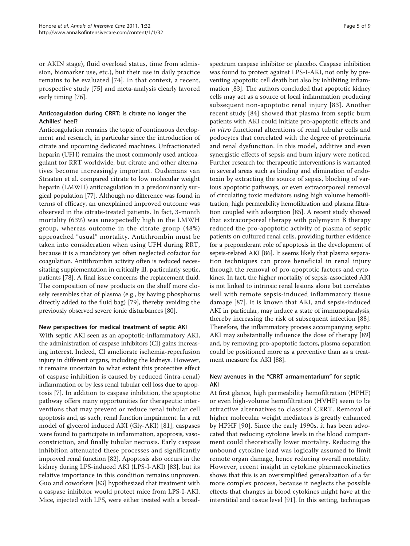or AKIN stage), fluid overload status, time from admission, biomarker use, etc.), but their use in daily practice remains to be evaluated [[74\]](#page-7-0). In that context, a recent, prospective study [[75\]](#page-7-0) and meta-analysis clearly favored early timing [\[76\]](#page-7-0).

# Anticoagulation during CRRT: is citrate no longer the Achilles' heel?

Anticoagulation remains the topic of continuous development and research, in particular since the introduction of citrate and upcoming dedicated machines. Unfractionated heparin (UFH) remains the most commonly used anticoagulant for RRT worldwide, but citrate and other alternatives become increasingly important. Oudemans van Straaten et al. compared citrate to low molecular weight heparin (LMWH) anticoagulation in a predominantly surgical population [\[77](#page-7-0)]. Although no difference was found in terms of efficacy, an unexplained improved outcome was observed in the citrate-treated patients. In fact, 3-month mortality (63%) was unexpectedly high in the LMWH group, whereas outcome in the citrate group (48%) approached "usual" mortality. Antithrombin must be taken into consideration when using UFH during RRT, because it is a mandatory yet often neglected cofactor for coagulation. Antithrombin activity often is reduced necessitating supplementation in critically ill, particularly septic, patients [\[78\]](#page-7-0). A final issue concerns the replacement fluid. The composition of new products on the shelf more closely resembles that of plasma (e.g., by having phosphorus directly added to the fluid bag) [[79\]](#page-7-0), thereby avoiding the previously observed severe ionic disturbances [[80](#page-7-0)].

# New perspectives for medical treatment of septic AKI

With septic AKI seen as an apoptotic-inflammatory AKI, the administration of caspase inhibitors (CI) gains increasing interest. Indeed, CI ameliorate ischemia-reperfusion injury in different organs, including the kidneys. However, it remains uncertain to what extent this protective effect of caspase inhibition is caused by reduced (intra-renal) inflammation or by less renal tubular cell loss due to apoptosis [[7\]](#page-6-0). In addition to caspase inhibition, the apoptotic pathway offers many opportunities for therapeutic interventions that may prevent or reduce renal tubular cell apoptosis and, as such, renal function impairment. In a rat model of glycerol induced AKI (Gly-AKI) [[81](#page-8-0)], caspases were found to participate in inflammation, apoptosis, vasoconstriction, and finally tubular necrosis. Early caspase inhibition attenuated these processes and significantly improved renal function [[82](#page-8-0)]. Apoptosis also occurs in the kidney during LPS-induced AKI (LPS-I-AKI) [[83](#page-8-0)], but its relative importance in this condition remains unproven. Guo and coworkers [[83](#page-8-0)] hypothesized that treatment with a caspase inhibitor would protect mice from LPS-I-AKI. Mice, injected with LPS, were either treated with a broadspectrum caspase inhibitor or placebo. Caspase inhibition was found to protect against LPS-I-AKI, not only by preventing apoptotic cell death but also by inhibiting inflammation [\[83\]](#page-8-0). The authors concluded that apoptotic kidney cells may act as a source of local inflammation producing subsequent non-apoptotic renal injury [[83\]](#page-8-0). Another recent study [[84\]](#page-8-0) showed that plasma from septic burn patients with AKI could initiate pro-apoptotic effects and in vitro functional alterations of renal tubular cells and podocytes that correlated with the degree of proteinuria and renal dysfunction. In this model, additive and even synergistic effects of sepsis and burn injury were noticed. Further research for therapeutic interventions is warranted in several areas such as binding and elimination of endotoxin by extracting the source of sepsis, blocking of various apoptotic pathways, or even extracorporeal removal of circulating toxic mediators using high volume hemofiltration, high permeability hemofiltration and plasma filtration coupled with adsorption [\[85\]](#page-8-0). A recent study showed that extracorporeal therapy with polymyxin B therapy reduced the pro-apoptotic activity of plasma of septic patients on cultured renal cells, providing further evidence for a preponderant role of apoptosis in the development of sepsis-related AKI [\[86](#page-8-0)]. It seems likely that plasma separation techniques can prove beneficial in renal injury through the removal of pro-apoptotic factors and cytokines. In fact, the higher mortality of sepsis-associated AKI is not linked to intrinsic renal lesions alone but correlates well with remote sepsis-induced inflammatory tissue damage [[87\]](#page-8-0). It is known that AKI, and sepsis-induced AKI in particular, may induce a state of immunoparalysis, thereby increasing the risk of subsequent infection [[88](#page-8-0)]. Therefore, the inflammatory process accompanying septic AKI may substantially influence the dose of therapy [\[89](#page-8-0)] and, by removing pro-apoptotic factors, plasma separation could be positioned more as a preventive than as a treatment measure for AKI [\[88\]](#page-8-0).

# New avenues in the "CRRT armamentarium" for septic AKI

At first glance, high permeability hemofiltration (HPHF) or even high-volume hemofiltration (HVHF) seem to be attractive alternatives to classical CRRT. Removal of higher molecular weight mediators is greatly enhanced by HPHF [[90\]](#page-8-0). Since the early 1990s, it has been advocated that reducing cytokine levels in the blood compartment could theoretically lower mortality. Reducing the unbound cytokine load was logically assumed to limit remote organ damage, hence reducing overall mortality. However, recent insight in cytokine pharmacokinetics shows that this is an oversimplified generalization of a far more complex process, because it neglects the possible effects that changes in blood cytokines might have at the interstitial and tissue level [\[91](#page-8-0)]. In this setting, techniques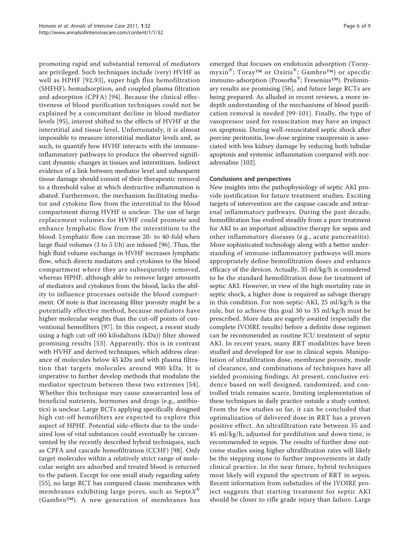promoting rapid and substantial removal of mediators are privileged. Such techniques include (very) HVHF as well as HPHF [[92](#page-8-0),[93\]](#page-8-0), super high flux hemofiltration (SHFHF), hemadsorption, and coupled plasma filtration and adsorption (CPFA) [[94\]](#page-8-0). Because the clinical effectiveness of blood purification techniques could not be explained by a concomitant decline in blood mediator levels [[95\]](#page-8-0), interest shifted to the effects of HVHF at the interstitial and tissue level. Unfortunately, it is almost impossible to measure interstitial mediator levels and, as such, to quantify how HVHF interacts with the immuneinflammatory pathways to produce the observed significant dynamic changes in tissues and interstitium. Indirect evidence of a link between mediator level and subsequent tissue damage should consist of their therapeutic removal to a threshold value at which destructive inflammation is abated. Furthermore, the mechanism facilitating mediator and cytokine flow from the interstitial to the blood compartment during HVHF is unclear. The use of large replacement volumes for HVHF could promote and enhance lymphatic flow from the interstitium to the blood. Lymphatic flow can increase 20- to 40-fold when large fluid volumes (3 to 5 l/h) are infused [\[96\]](#page-8-0). Thus, the high fluid volume exchange in HVHF increases lymphatic flow, which directs mediators and cytokines to the blood compartment where they are subsequently removed, whereas HPHF, although able to remove larger amounts of mediators and cytokines from the blood, lacks the ability to influence processes outside the blood compartment. Of note is that increasing filter porosity might be a potentially effective method, because mediators have higher molecular weights than the cut-off points of conventional hemofilters [\[97](#page-8-0)]. In this respect, a recent study using a high cut-off (60 kilodaltons (kDa)) filter showed promising results [[53](#page-7-0)]. Apparently, this is in contrast with HVHF and derived techniques, which address clearance of molecules below 45 kDa and with plasma filtration that targets molecules around 900 kDa. It is imperative to further develop methods that modulate the mediator spectrum between these two extremes [[54\]](#page-7-0). Whether this technique may cause unwarranted loss of beneficial nutrients, hormones and drugs (e.g., antibiotics) is unclear. Large RCTs applying specifically designed high cut-off hemofilters are expected to explore this aspect of HPHF. Potential side-effects due to the undesired loss of vital substances could eventually be circumvented by the recently described hybrid techniques, such as CPFA and cascade hemofiltration (CCHF) [[98\]](#page-8-0). Only target molecules within a relatively strict range of molecular weight are adsorbed and treated blood is returned to the patient. Except for one small study regarding safety [[55\]](#page-7-0), no large RCT has compared classic membranes with membranes exhibiting large pores, such as Septe $X^{\text{m}}$ (Gambro™). A new generation of membranes has

emerged that focuses on endotoxin adsorption (Toraymyxin®; Toray™ or Oxiris®; Gambro™) or specific immuno-adsorption (Prosorba®; Fresenius™). Preliminary results are promising [\[56](#page-7-0)], and future large RCTs are being prepared. As alluded in recent reviews, a more indepth understanding of the mechanisms of blood purification removal is needed [\[99-101](#page-8-0)]. Finally, the type of vasopressor used for resuscitation may have an impact on apoptosis. During well-resuscitated septic shock after porcine peritonitis, low-dose arginine vasopressin is associated with less kidney damage by reducing both tubular apoptosis and systemic inflammation compared with noradrenaline [[102](#page-8-0)].

#### Conclusions and perspectives

New insights into the pathophysiology of septic AKI provide justification for future treatment studies. Exciting targets of intervention are the caspase cascade and intrarenal inflammatory pathways. During the past decade, hemofiltration has evolved steadily from a pure treatment for AKI to an important adjunctive therapy for sepsis and other inflammatory diseases (e.g., acute pancreatitis). More sophisticated technology along with a better understanding of immune-inflammatory pathways will more appropriately define hemofiltration doses and enhance efficacy of the devices. Actually, 35 ml/kg/h is considered to be the standard hemofiltration dose for treatment of septic AKI. However, in view of the high mortality rate in septic shock, a higher dose is required as salvage therapy in this condition. For non-septic-AKI, 25 ml/kg/h is the rule, but to achieve this goal 30 to 35 ml/kg/h must be prescribed. More data are eagerly awaited (especially the complete IVOIRE results) before a definite dose regimen can be recommended as routine ICU treatment of septic AKI. In recent years, many RRT modalities have been studied and developed for use in clinical sepsis. Manipulation of ultrafiltration dose, membrane porosity, mode of clearance, and combinations of techniques have all yielded promising findings. At present, conclusive evidence based on well designed, randomized, and controlled trials remains scarce, limiting implementation of these techniques in daily practice outside a study context. From the few studies so far, it can be concluded that optimalization of delivered dose in RRT has a proven positive effect. An ultrafiltration rate between 35 and 45 ml/kg/h, adjusted for predilution and down time, is recommended in sepsis. The results of further dose outcome studies using higher ultrafiltration rates will likely be the stepping stone to further improvements in daily clinical practice. In the near future, hybrid techniques most likely will expand the spectrum of RRT in sepsis. Recent information from substudies of the IVOIRE project suggests that starting treatment for septic AKI should be closer to rifle grade injury than failure. Large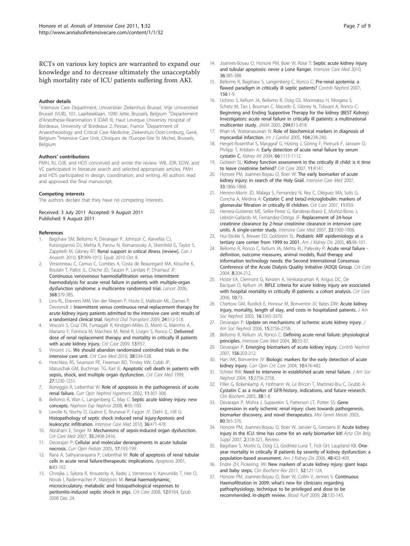<span id="page-6-0"></span>RCTs on various key topics are warranted to expand our knowledge and to decrease ultimately the unacceptably high mortality rate of ICU patients suffering from AKI.

#### Author details

<sup>1</sup>Intensive Care Department, Universitair Ziekenhuis Brussel, Vrije Universitieit Brussel (VUB), 101, Laarbeeklaan, 1090 Jette, Brussels, Belgium <sup>2</sup>Departement d'Anesthesie-Reanimation II (DAR II), Haut Leveque University Hospital of Bordeaux, University of Bordeaux 2, Pessac, France <sup>3</sup>Department of Anaesthesiology and Critical Care Medicine, Ziekenhuis Oost-Limburg, Genk, Belgium <sup>4</sup>Intensive Care Unit, Cliniques de l'Europe-Site St Michel, Brussels, Belgium

#### Authors' contributions

PMH, RJ, OJB, and HDS conceived and wrote the review. WB, JDR, EDW, and VC participated in literature search and selected appropriate articles. PMH and HDS participated in design, coordination, and writing. All authors read and approved the final manuscript.

#### Competing interests

The authors declare that they have no competing interests.

Received: 3 July 2011 Accepted: 9 August 2011 Published: 9 August 2011

#### References

- Bagshaw SM, Bellomo R, Devarajan P, Johnson C, Karvellas CJ, Kutsiogiannis DJ, Mehta R, Pannu N, Romanovsky A, Sheinfeld G, Taylor S, Zappitelli M, Gibney RT: [Renal support in critical illness \[review\].](http://www.ncbi.nlm.nih.gov/pubmed/20931311?dopt=Abstract) Can J Anaesth 2010, 57:999-1013, Epub 2010 Oct 8.
- 2. Vinsonneau C, Camus C, Combes A, Costa de Beauregard MA, Klouche K, Boulain T, Pallot JL, Chiche JD, Taupin P, Landais P, Dhainaut JF: [Continuous venovenous haemodiafiltration versus intermittent](http://www.ncbi.nlm.nih.gov/pubmed/16876666?dopt=Abstract) [haemodialysis for acute renal failure in patients with multiple-organ](http://www.ncbi.nlm.nih.gov/pubmed/16876666?dopt=Abstract) [dysfunction syndrome: a multicentre randomised trial.](http://www.ncbi.nlm.nih.gov/pubmed/16876666?dopt=Abstract) Lancet 2006, 368:379-385.
- Lins RL, Elseviers MM, Van der Niepen P, Hoste E, Malbrain ML, Damas P, Devriendt J: [Intermittent versus continuous renal replacement therapy for](http://www.ncbi.nlm.nih.gov/pubmed/18854418?dopt=Abstract) [acute kidney injury patients admitted to the intensive care unit: results of](http://www.ncbi.nlm.nih.gov/pubmed/18854418?dopt=Abstract) [a randomized clinical trial.](http://www.ncbi.nlm.nih.gov/pubmed/18854418?dopt=Abstract) Nephrol Dial Transplant 2009, 24:512-518.
- Vesconi S, Cruz DN, Fumagalli R, Kindgen-Milles D, Monti G, Marinho A, Mariano F, Formica M, Marchesi M, René R, Livigni S, Ronco C: [Delivered](http://www.ncbi.nlm.nih.gov/pubmed/19368724?dopt=Abstract) [dose of renal replacement therapy and mortality in critically ill patients](http://www.ncbi.nlm.nih.gov/pubmed/19368724?dopt=Abstract) [with acute kidney injury.](http://www.ncbi.nlm.nih.gov/pubmed/19368724?dopt=Abstract) Crit Care 2009, 13:R57.
- 5. Vincent J-L: We should abandon randomized controlled trials in the intensive care unit. Crit Care Med 2010, 38:534-538.
- 6. Hotchkiss RS, Swanson PE, Freeman BD, Tinsley KW, Cobb JP, Matuschak GM, Buchman TG, Karl IE: [Apoptotic cell death in patients with](http://www.ncbi.nlm.nih.gov/pubmed/10446814?dopt=Abstract) [sepsis, shock, and multiple organ dysfunction.](http://www.ncbi.nlm.nih.gov/pubmed/10446814?dopt=Abstract) Crit Care Med 1999, 27:1230-1251.
- 7. Boneggio R, Lieberthal W: [Role of apoptosis in the pathogenesis of acute](http://www.ncbi.nlm.nih.gov/pubmed/11981260?dopt=Abstract) [renal failure.](http://www.ncbi.nlm.nih.gov/pubmed/11981260?dopt=Abstract) Curr Opin Nephrol Hypertens 2002, 11:301-308.
- 8. Bellomo R, Wan L, Langenberg C, May C: Septic acute kidney injury: new concepts. Nephron Exp Nephrol 2008, 4:95-100.
- 9. Lerolle N, Nochy D, Guérot E, Bruneval P, Fagon JY, Diehl JL, Hill G: [Histopathology of septic shock induced renal injury:Apotosis and](http://www.ncbi.nlm.nih.gov/pubmed/19924395?dopt=Abstract) [leukocytic infiltration.](http://www.ncbi.nlm.nih.gov/pubmed/19924395?dopt=Abstract) Intensive Care Med 2010, 36:471-478.
- 10. Abraham E, Singer M: [Mechanisms of sepsis-induced organ dysfunction.](http://www.ncbi.nlm.nih.gov/pubmed/17948334?dopt=Abstract) Crit Care Med 2007, 35:2408-2416.
- 11. Devarajan P: [Cellular and molecular derangements in acute tubular](http://www.ncbi.nlm.nih.gov/pubmed/15800411?dopt=Abstract) [necrosis.](http://www.ncbi.nlm.nih.gov/pubmed/15800411?dopt=Abstract) Curr Opin Pediatr 2005, 17:193-199.
- 12. Rana A, Sathyanarayana P, Lieberthal W: [Role of apoptosis of renal tubular](http://www.ncbi.nlm.nih.gov/pubmed/11321045?dopt=Abstract) [cells in acute renal failure:therapeutic implications.](http://www.ncbi.nlm.nih.gov/pubmed/11321045?dopt=Abstract) Apoptosis 2001, 6:83-102.
- 13. Chvojka J, Sykora R, Krouzecky A, Radej J, Varnerova V, Karvunidis T, Hes O, Novak I, Radermacher P, Matejovic M: [Renal haemodynamic,](http://www.ncbi.nlm.nih.gov/pubmed/19108740?dopt=Abstract) [microcirculatory, metabolic and histopathological responses to](http://www.ncbi.nlm.nih.gov/pubmed/19108740?dopt=Abstract) [peritonitis-induced septic shock in pigs.](http://www.ncbi.nlm.nih.gov/pubmed/19108740?dopt=Abstract) Crit Care 2008, 12:R164, Epub 2008 Dec 24.
- 14. Joannes-Boyau O, Honoré PM, Boer W, Rose T: [Septic acute kidney injury](http://www.ncbi.nlm.nih.gov/pubmed/19924394?dopt=Abstract) [and tubular apoptosis: never a Lone Ranger.](http://www.ncbi.nlm.nih.gov/pubmed/19924394?dopt=Abstract) Intensive Care Med 2010, 36:385-388.
- 15. Bellomo R, Bagshaw S, Langenberg C, Ronco C: [Pre-renal azotemia: a](http://www.ncbi.nlm.nih.gov/pubmed/17464109?dopt=Abstract) [flawed paradigm in critically ill septic patients?](http://www.ncbi.nlm.nih.gov/pubmed/17464109?dopt=Abstract) Contrib Nephrol 2007, 156:1-9.
- 16. Uchino S, Kellum JA, Bellomo R, Doig GS, Morimatsu H, Morgera S, Schetz M, Tan I, Bouman C, Macedo E, Gibney N, Tolwani A, Ronco C: [Beginning and Ending Supportive Therapy for the kidney \(BEST Kidney\)](http://www.ncbi.nlm.nih.gov/pubmed/16106006?dopt=Abstract) [Investigators: acute renal failure in critically ill patients: a multinational](http://www.ncbi.nlm.nih.gov/pubmed/16106006?dopt=Abstract) [multicenter study.](http://www.ncbi.nlm.nih.gov/pubmed/16106006?dopt=Abstract) JAMA 2005, 294:813-818.
- 17. Khan IA, Wattanasuwan N: [Role of biochemical markers in diagnosis of](http://www.ncbi.nlm.nih.gov/pubmed/16168823?dopt=Abstract) [myocardial infarction.](http://www.ncbi.nlm.nih.gov/pubmed/16168823?dopt=Abstract) Int J Cardiol 2005, 104:238-240.
- 18. Herget-Rosenthal S, Marggraf G, Hüsing J, Göring F, Pietruck F, Janssen O, Philipp T, Kribben A: [Early detection of acute renal failure by serum](http://www.ncbi.nlm.nih.gov/pubmed/15327406?dopt=Abstract) [cystatin C.](http://www.ncbi.nlm.nih.gov/pubmed/15327406?dopt=Abstract) Kidney Int 2004, 66:1115-1112.
- 19. Golstein SL: Kidney function assessment in the critically ill child: is it time to leave creatinine behind? Crit Care 2007, 11:R141.
- 20. Honore PM, Joannes-Boyau O, Boer W: [The early biomarker of acute](http://www.ncbi.nlm.nih.gov/pubmed/17609928?dopt=Abstract) [kidney injury: in search of the Holy Grail.](http://www.ncbi.nlm.nih.gov/pubmed/17609928?dopt=Abstract) Intensive Care Med 2007, 33:1866-1868.
- 21. Herrero-Morin JD, Malaga S, Fernandez N, Rey C, Diéguez MA, Solís G, Concha A, Medina A: [Cystatin C and beta2-microglobulin: markers of](http://www.ncbi.nlm.nih.gov/pubmed/17519026?dopt=Abstract) [glomerular filtration in critically ill children.](http://www.ncbi.nlm.nih.gov/pubmed/17519026?dopt=Abstract) Crit Care 2007, 11:R59.
- 22. Herrera-Gutierrez ME, Seller-Perez G, Banderas-Bravo E, Muñoz-Bono J, Lebrón-Gallardo M, Fernandez-Ortega JF: [Replacement of 24-hour](http://www.ncbi.nlm.nih.gov/pubmed/17609929?dopt=Abstract) [creatinine clearance by 2-hour creatinine clearance in intensive care](http://www.ncbi.nlm.nih.gov/pubmed/17609929?dopt=Abstract) [units. A single-center study.](http://www.ncbi.nlm.nih.gov/pubmed/17609929?dopt=Abstract) Intensive Care Med 2007, 33:1900-1906.
- 23. Hui-Stickle S, Brewer ED, Goldstein SL: [Pediatric ARF epidemiology at a](http://www.ncbi.nlm.nih.gov/pubmed/15696448?dopt=Abstract) [tertiary care center from 1999 to 2001.](http://www.ncbi.nlm.nih.gov/pubmed/15696448?dopt=Abstract) Am J Kidney Dis 2005, 45:96-101.
- 24. Bellomo R, Ronco C, Kellum JA, Mehta RL, Palevsky P: Acute renal failure definition, outcome measures, animal models, fluid therapy and information technology needs: the Second International Consensus Conference of the Acute Dialysis Quality Initiative (ADQI) Group. Crit Care 2004, 8:204-212.
- 25. Hoste EA, Clermont G, Kersten A, Venkataraman R, Angus DC, De Bacquer D, Kellum JA: RIFLE criteria for acute kidney injury are associated with hospital mortality in critically ill patients: a cohort analysis. Crit Care 2006, 10:73.
- 26. Chertow GM, Burdick E, Honour M, Bonventre JV, Bates DW: [Acute kidney](http://www.ncbi.nlm.nih.gov/pubmed/16177006?dopt=Abstract) [injury, mortality, length of stay, and costs in hospitalized patients.](http://www.ncbi.nlm.nih.gov/pubmed/16177006?dopt=Abstract)  $JAm$ Soc Nephrol 2005, 16:3365-3370.
- 27. Devarajan P: Update on mechanisms of ischemic acute kidney injury. J Am Soc Nephrol 2006, 15:2756-2758.
- 28. Bellomo R, Kellum JA, Ronco C: [Defining acute renal failure: physiological](http://www.ncbi.nlm.nih.gov/pubmed/14618231?dopt=Abstract) [principles.](http://www.ncbi.nlm.nih.gov/pubmed/14618231?dopt=Abstract) Intensive Care Med 2004, 30:33-37.
- 29. Devarajan P: [Emerging biomarkers of acute kidney injury.](http://www.ncbi.nlm.nih.gov/pubmed/17464129?dopt=Abstract) Contrib Nephrol 2007, 156:203-212.
- 30. Han WK, Bonventre JV: [Biologic markers for the early detection of acute](http://www.ncbi.nlm.nih.gov/pubmed/15616389?dopt=Abstract) [kidney injury.](http://www.ncbi.nlm.nih.gov/pubmed/15616389?dopt=Abstract) Curr Opin Crit Care 2004, 10:476-482.
- 31. Schrier RW: [Need to intervene in established acute renal failure.](http://www.ncbi.nlm.nih.gov/pubmed/15466282?dopt=Abstract) J Am Soc Nephrol 2004, 15:2756-2758.
- 32. Filler G, Bokenkamp A, Hofmann W, Le Bricon T, Martinez-Bru C, Grubb A: [Cystatin C as a marker of GFR-history, indications, and future research.](http://www.ncbi.nlm.nih.gov/pubmed/15607309?dopt=Abstract) Clin Biochem 2005, 38:1-8.
- 33. Devarajan P, Mishra J, Supavekin S, Patterson LT, Potter SS: [Gene](http://www.ncbi.nlm.nih.gov/pubmed/14654349?dopt=Abstract) [expression in early ischemic renal injury: clues towards pathogenesis,](http://www.ncbi.nlm.nih.gov/pubmed/14654349?dopt=Abstract) [biomarker discovery, and novel therapeutics.](http://www.ncbi.nlm.nih.gov/pubmed/14654349?dopt=Abstract) Mol Genet Metab 2003, 80:365-376.
- 34. Honore PM, Joannes-Boyau O, Boer W, Janvier G, Gressens B: [Acute kidney](http://www.ncbi.nlm.nih.gov/pubmed/18283991?dopt=Abstract) [injury in the ICU: time has come for an early biomarker kit!](http://www.ncbi.nlm.nih.gov/pubmed/18283991?dopt=Abstract) Acta Clin Belg Suppl 2007, 2:318-321, Review.
- 35. Bagshaw S, Mortis G, Doig CJ, Godinez-Luna T, Fick GH, Laupland KB: [One](http://www.ncbi.nlm.nih.gov/pubmed/16931213?dopt=Abstract)[year mortality in critically ill patients by severity of kidney dysfunction: a](http://www.ncbi.nlm.nih.gov/pubmed/16931213?dopt=Abstract) [population-based assessment.](http://www.ncbi.nlm.nih.gov/pubmed/16931213?dopt=Abstract) Am J Kidney Dis 2006, 48:402-409.
- 36. Endre ZH, Pickering JW: [New markers of acute kidney injury: giant leaps](http://www.ncbi.nlm.nih.gov/pubmed/21611087?dopt=Abstract) [and baby steps.](http://www.ncbi.nlm.nih.gov/pubmed/21611087?dopt=Abstract) Clin Biochem Rev 2011, 32:121-124.
- Honore PM, Joannes-Boyau O, Boer W, Collin V, Jennes S: [Continuous](http://www.ncbi.nlm.nih.gov/pubmed/19590180?dopt=Abstract) [Haemofiltration in 2009: what](http://www.ncbi.nlm.nih.gov/pubmed/19590180?dopt=Abstract)'s new for clinicians regarding [pathophysiology, technique to be privileged and dose to be](http://www.ncbi.nlm.nih.gov/pubmed/19590180?dopt=Abstract) [recommended. In-depth review.](http://www.ncbi.nlm.nih.gov/pubmed/19590180?dopt=Abstract) Blood Purif 2009, 28:135-143.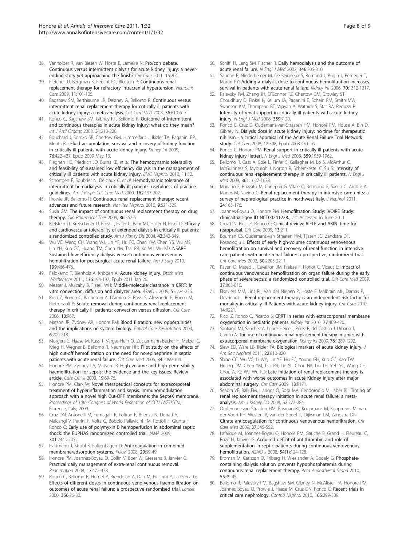- <span id="page-7-0"></span>38. Vanholder R, Van Biesen W, Hoste E, Lameire N: [Pro/con debate.](http://www.ncbi.nlm.nih.gov/pubmed/21345275?dopt=Abstract) [Continuous versus intermittent dialysis for acute kidney injury: a never](http://www.ncbi.nlm.nih.gov/pubmed/21345275?dopt=Abstract)[ending story yet approaching the finish?](http://www.ncbi.nlm.nih.gov/pubmed/21345275?dopt=Abstract) Crit Care 2011, 15:204.
- 39. Fletcher JJ, Bergman K, Feucht EC, Blostein P: [Continuous renal](http://www.ncbi.nlm.nih.gov/pubmed/19267223?dopt=Abstract) [replacement therapy for refractory intracranial hypertension.](http://www.ncbi.nlm.nih.gov/pubmed/19267223?dopt=Abstract) Neurocrit Care 2009, 11:101-105.
- 40. Bagshaw SM, Berthiaume LR, Delaney A, Bellomo R: [Continuous versus](http://www.ncbi.nlm.nih.gov/pubmed/18216610?dopt=Abstract) [intermittent renal replacement therapy for critically ill patients with](http://www.ncbi.nlm.nih.gov/pubmed/18216610?dopt=Abstract) [acute kidney injury: a meta-analysis.](http://www.ncbi.nlm.nih.gov/pubmed/18216610?dopt=Abstract) Crit Care Med 2008, 36:610-617.
- 41. Ronco C, Bagshaw SM, Gibney RT, Bellomo R: [Outcome of intermittent](http://www.ncbi.nlm.nih.gov/pubmed/18373314?dopt=Abstract) [and continuous therapies in acute kidney injury: what do they mean?](http://www.ncbi.nlm.nih.gov/pubmed/18373314?dopt=Abstract) Int J Artif Organs 2008, 31:213-220.
- 42. Bouchard J, Soroko SB, Chertow GM, Himmelfarb J, Ikizler TA, Paganini EP, Mehta RL: [Fluid accumulation, survival and recovery of kidney function](http://www.ncbi.nlm.nih.gov/pubmed/19436332?dopt=Abstract) [in critically ill patients with acute kidney injury.](http://www.ncbi.nlm.nih.gov/pubmed/19436332?dopt=Abstract) Kidney Int 2009, 76:422-427, Epub 2009 May 13.
- 43. Fieghen HE, Friedrich JO, Burns KE, et al: [The hemodynamic tolerability](http://www.ncbi.nlm.nih.gov/pubmed/21106112?dopt=Abstract) [and feasibility of sustained low efficiency dialysis in the management of](http://www.ncbi.nlm.nih.gov/pubmed/21106112?dopt=Abstract) [critically ill patients with acute kidney injury.](http://www.ncbi.nlm.nih.gov/pubmed/21106112?dopt=Abstract) BMC Nephrol 2010, 11:32.
- 44. Schortgen F, Soubrier N, Delclaux C, et al: [Hemodynamic tolerance of](http://www.ncbi.nlm.nih.gov/pubmed/10903241?dopt=Abstract) [intermittent hemodialysis in critically ill patients: usefulness of practice](http://www.ncbi.nlm.nih.gov/pubmed/10903241?dopt=Abstract) [guidelines.](http://www.ncbi.nlm.nih.gov/pubmed/10903241?dopt=Abstract) Am J Respir Crit Care Med 2000, 162:197-202.
- 45. Prowle JR, Bellomo R: Continuous renal replacement therapy: recent advances and future research. Nat Rev Nephrol 2010, 9:521-529.
- 46. Susla GM: [The impact of continuous renal replacement therapy on drug](http://www.ncbi.nlm.nih.gov/pubmed/19727069?dopt=Abstract) [therapy.](http://www.ncbi.nlm.nih.gov/pubmed/19727069?dopt=Abstract) Clin Pharmacol Ther 2009, 86:562-5.
- 47. Kielstein JT, Kretschmer U, Ernst T, Hafer C, Bahr MJ, Haller H, Fliser D: [Efficacy](http://www.ncbi.nlm.nih.gov/pubmed/14750100?dopt=Abstract) [and cardiovascular tolerability of extended dialysis in critically ill patients:](http://www.ncbi.nlm.nih.gov/pubmed/14750100?dopt=Abstract) [a randomized controlled study.](http://www.ncbi.nlm.nih.gov/pubmed/14750100?dopt=Abstract) Am J Kidney Dis 2004, 43:342-349.
- 48. Wu VC, Wang CH, Wang WJ, Lin YF, Hu FC, Chen YW, Chen YS, Wu MS, Lin YH, Kuo CC, Huang TM, Chen YM, Tsai PR, Ko WJ, Wu KD: [NSARF](http://www.ncbi.nlm.nih.gov/pubmed/19375065?dopt=Abstract) [Sustained low-efficiency dialysis versus continuous veno-venous](http://www.ncbi.nlm.nih.gov/pubmed/19375065?dopt=Abstract) [hemofiltration for postsurgical acute renal failure.](http://www.ncbi.nlm.nih.gov/pubmed/19375065?dopt=Abstract) Am J Surg 2010, 199:466-476.
- 49. Feldkamp T, Bienholz A, Kribben A: [Acute kidney injury.](http://www.ncbi.nlm.nih.gov/pubmed/21271480?dopt=Abstract) Dtsch Med Wochenschr 2011, 136:194-197, Epub 2011 Jan 26.
- 50. Messer J, Mulcahy B, Fissell WH: [Middle-molecule clearance in CRRT: in](http://www.ncbi.nlm.nih.gov/pubmed/19282753?dopt=Abstract) [vitro convection, diffusion and dialyzer area.](http://www.ncbi.nlm.nih.gov/pubmed/19282753?dopt=Abstract) ASAIO J 2009, 55:224-226.
- 51. Ricci Z, Ronco C, Bachetoni A, D'amico G, Rossi S, Alessandri E, Rocco M, Pietropaoli P: [Solute removal during continuous renal replacement](http://www.ncbi.nlm.nih.gov/pubmed/16646985?dopt=Abstract) [therapy in critically ill patients: convection versus diffusion.](http://www.ncbi.nlm.nih.gov/pubmed/16646985?dopt=Abstract) Crit Care 2006, 10:R67.
- 52. Matson JR, Zydney AR, Honore PM: Blood filtration: new opportunities and the implications on system biology. Critical Care Resucitation 2004, 6:209-218.
- 53. Morgera S, Haase M, Kuss T, Vargas-Hein O, Zuckermann-Becker H, Melzer C, Krieg H, Wegner B, Bellomo R, Neumayer HH: [Pilot study on the effects of](http://www.ncbi.nlm.nih.gov/pubmed/16763508?dopt=Abstract) [high cut-off hemofiltration on the need for norepinephrine in septic](http://www.ncbi.nlm.nih.gov/pubmed/16763508?dopt=Abstract) [patients with acute renal failure.](http://www.ncbi.nlm.nih.gov/pubmed/16763508?dopt=Abstract) Crit Care Med 2006, 34:2099-104.
- 54. Honoré PM, Zydney LA, Matson JR: High volume and high permeability haemofiltration for sepsis: the evidence and the key issues. Review article. Care Crit Ill 2003, 19:69-76.
- 55. Honore PM, Clark W: Novel therapeutical concepts for extracorporeal treatment of hyperinflammation and sepsis: immunomodulation. approach with a novel high Cut-OFF membrane: the SepteX membrane. Proceedings of 10th Congress of World Federation of CCU (WFSICCM) Florence, Italy; 2009.
- 56. Cruz DN, Antonelli M, Fumagalli R, Foltran F, Brienza N, Donati A, Malcangi V, Petrini F, Volta G, Bobbio Pallavicini FM, Rottoli F, Giunta F, Ronco C: [Early use of polymyxin B hemoperfusion in abdominal septic](http://www.ncbi.nlm.nih.gov/pubmed/19531784?dopt=Abstract) [shock: the EUPHAS randomized controlled trial.](http://www.ncbi.nlm.nih.gov/pubmed/19531784?dopt=Abstract) JAMA 2009, 301:2445-2452.
- 57. Hartmann J, Strobl K, Falkenhagen D: [Anticoagulation in combined](http://www.ncbi.nlm.nih.gov/pubmed/19259037?dopt=Abstract) [membrane/adsorption systems.](http://www.ncbi.nlm.nih.gov/pubmed/19259037?dopt=Abstract) Prilozi 2008, 29:39-49.
- 58. Honore PM, Joannes-Boyau O, Collin V, Boer W, Gressens B, Janvier G: Practical daily management of extra-renal continuous removal. Reanimation 2008, 17:472-478.
- Ronco C, Bellomo R, Homel P, Brendolan A, Dan M, Piccinni P, La Greca G: [Effects of different doses in continuous veno-venous haemofiltration on](http://www.ncbi.nlm.nih.gov/pubmed/10892761?dopt=Abstract) [outcomes of acute renal failure: a prospective randomised trial.](http://www.ncbi.nlm.nih.gov/pubmed/10892761?dopt=Abstract) Lancet 2000, 356:26-30.
- 60. Schiffl H, Lang SM, Fischer R: [Daily hemodialysis and the outcome of](http://www.ncbi.nlm.nih.gov/pubmed/11821506?dopt=Abstract) [acute renal failure.](http://www.ncbi.nlm.nih.gov/pubmed/11821506?dopt=Abstract) N Engl J Med 2002, 346:305-310.
- 61. Saudan P, Niederberger M, De Seigneux S, Romand J, Pugin J, Perneger T, Martin PY: [Adding a dialysis dose to continuous hemofiltration increases](http://www.ncbi.nlm.nih.gov/pubmed/16850022?dopt=Abstract) [survival in patients with acute renal failure.](http://www.ncbi.nlm.nih.gov/pubmed/16850022?dopt=Abstract) Kidney Int 2006, 70:1312-1317.
- 62. Palevsky PM, Zhang JH, O'Connor TZ, Chertow GM, Crowley ST, Choudhury D, Finkel K, Kellum JA, Paganini E, Schein RM, Smith MW, Swanson KM, Thompson BT, Vijayan A, Watnick S, Star RA, Peduzzi P: [Intensity of renal support in critically ill patients with acute kidney](http://www.ncbi.nlm.nih.gov/pubmed/18492867?dopt=Abstract) [injury.](http://www.ncbi.nlm.nih.gov/pubmed/18492867?dopt=Abstract) N Fnal J Med 2008, 359:7-20.
- 63. Ronco C, Cruz D, Oudemans-van-Straaten HM, Honoré PM, House A, Bin D, Gibney N: Dialysis dose in acute kidney injury: no time for therapeutic nihilism - a critical appraisal of the Acute Renal Failure Trial Network study. Crit Care 2008, 12:308, Epub 2008 Oct 16.
- 64. Ronco C, Honore PM: [Renal support in critically ill patients with acute](http://www.ncbi.nlm.nih.gov/pubmed/18979569?dopt=Abstract) [kidney injury \[letter\].](http://www.ncbi.nlm.nih.gov/pubmed/18979569?dopt=Abstract) N Engl J Med 2008, 359:1959-1962.
- 65. Bellomo R, Cass A, Cole L, Finfer S, Gallagher M, Lo S, McArthur C, McGuinness S, Myburgh J, Norton R, Scheinkestel C, Su S: [Intensity](http://www.ncbi.nlm.nih.gov/pubmed/19846848?dopt=Abstract) of [continuous renal-replacement therapy in critically ill patients.](http://www.ncbi.nlm.nih.gov/pubmed/19846848?dopt=Abstract) N Engl J Med 2009, 361:1627-1638.
- 66. Mariano F, Pozzato M, Canepari G, Vitale C, Bermond F, Sacco C, Amore A, Manes M, Navino C: [Renal replacement therapy in intensive care units: a](http://www.ncbi.nlm.nih.gov/pubmed/20586025?dopt=Abstract) [survey of nephrological practice in northwest Italy.](http://www.ncbi.nlm.nih.gov/pubmed/20586025?dopt=Abstract) J Nephrol 2011, 24:165-176.
- 67. Joannes-Boyau O, Honore PM: Hemofiltration Study: IVOIRE Study: clinicaltrials.gov ID NCT00241228., last Accessed in June 2011.
- Cruz DN, Ricci Z, Ronco C: [Clinical review: RIFLE and AKIN](http://www.ncbi.nlm.nih.gov/pubmed/19638179?dopt=Abstract)-time for [reappraisal.](http://www.ncbi.nlm.nih.gov/pubmed/19638179?dopt=Abstract) Crit Care 2009, 13:211.
- 69. Bouman CS, Oudemans-van Straaten HM, Tijssen JG, Zandstra DF, Kosecioglu J: [Effects of early high-volume continuous venovenous](http://www.ncbi.nlm.nih.gov/pubmed/12394945?dopt=Abstract) [hemofiltration on survival and recovery of renal function in intensive](http://www.ncbi.nlm.nih.gov/pubmed/12394945?dopt=Abstract) [care patients with acute renal failure: a prospective, randomized trial.](http://www.ncbi.nlm.nih.gov/pubmed/12394945?dopt=Abstract) Crit Care Med 2002, 30:2205-2211.
- 70. Payen D, Mateo J, Cavaillon JM, Fraisse F, Floriot C, Vicaut E: [Impact of](http://www.ncbi.nlm.nih.gov/pubmed/19237881?dopt=Abstract) [continuous venovenous hemofiltration on organ failure during the early](http://www.ncbi.nlm.nih.gov/pubmed/19237881?dopt=Abstract) [phase of severe sepsis: a randomized controlled trial.](http://www.ncbi.nlm.nih.gov/pubmed/19237881?dopt=Abstract) Crit Care Med 2009, 37:803-810.
- 71. Elseviers MM, Lins RL, Van der Niepen P, Hoste E, Malbrain ML, Damas P, Devriendt J: [Renal replacement therapy is an independent risk factor for](http://www.ncbi.nlm.nih.gov/pubmed/21122146?dopt=Abstract) [mortality in critically ill Patients with acute kidney injury.](http://www.ncbi.nlm.nih.gov/pubmed/21122146?dopt=Abstract) Crit Care 2010, 14:R221.
- 72. Ricci Z, Ronco C, Picardo S: [CRRT in series with extracorporeal membrane](http://www.ncbi.nlm.nih.gov/pubmed/20150944?dopt=Abstract) [oxygenation in pediatric patients.](http://www.ncbi.nlm.nih.gov/pubmed/20150944?dopt=Abstract) Kidney Int 2010, 77:469-470.
- 73. Santiago MJ, Sanchez A, Lopez-Herce J, Pérez R, del Castillo J, Urbano J, Carrillo A: [The use of continuous renal replacement therapy in series with](http://www.ncbi.nlm.nih.gov/pubmed/19794394?dopt=Abstract) [extracorporeal membrane oxygenation.](http://www.ncbi.nlm.nih.gov/pubmed/19794394?dopt=Abstract) Kidney Int 2009, 76:1289-1292.
- 74. Siew ED, Ware LB, Ikizler TA: [Biological markers of acute kidney injury.](http://www.ncbi.nlm.nih.gov/pubmed/21493774?dopt=Abstract) J Am Soc Nephrol 2011, 22:810-820.
- 75. Shiao CC, Wu VC, Li WY, Lin YF, Hu FC, Young GH, Kuo CC, Kao TW, Huang DM, Chen YM, Tsai PR, Lin SL, Chou NK, Lin TH, Yeh YC, Wang CH, Chou A, Ko WJ, Wu KD: [Late initiation of renal replacement therapy is](http://www.ncbi.nlm.nih.gov/pubmed/19878554?dopt=Abstract) [associated with worse outcomes in acute Kidney injury after major](http://www.ncbi.nlm.nih.gov/pubmed/19878554?dopt=Abstract) [abdominal surgery.](http://www.ncbi.nlm.nih.gov/pubmed/19878554?dopt=Abstract) Crit Care 2009, 13:R171.
- 76. Seabra VF, Balk EM, Liangos O, Sosa MA, Cendoroglo M, Jaber BL: [Timing of](http://www.ncbi.nlm.nih.gov/pubmed/18562058?dopt=Abstract) [renal replacement therapy initiation in acute renal failure: a meta](http://www.ncbi.nlm.nih.gov/pubmed/18562058?dopt=Abstract)[analysis.](http://www.ncbi.nlm.nih.gov/pubmed/18562058?dopt=Abstract) Am J Kidney Dis 2008, 52:272-284.
- 77. Oudemans-van Straaten HM, Bosman RJ, Koopmans M, Koopmans M, van der Voort PH, Wester JP, van der Spoel JI, Dijksman LM, Zandstra DF: [Citrate anticoagulation for continuous venovenous hemofiltration.](http://www.ncbi.nlm.nih.gov/pubmed/19114912?dopt=Abstract) Crit Care Med 2009, 37:545-552.
- 78. Lafargue M, Joannes-Boyau O, Honore PM, Gauche B, Grand H, Fleureau C, Rozé H, Janvier G: [Acquired deficit of antithrombin and role of](http://www.ncbi.nlm.nih.gov/pubmed/18204328?dopt=Abstract) [supplementation in septic patients during continuous veno-venous](http://www.ncbi.nlm.nih.gov/pubmed/18204328?dopt=Abstract) [hemofiltration.](http://www.ncbi.nlm.nih.gov/pubmed/18204328?dopt=Abstract) ASAIO J 2008, 54(1):124-128.
- 79. Broman M, Carlsson O, Friberg H, Wieslander A, Godaly G: [Phosphate](http://www.ncbi.nlm.nih.gov/pubmed/21039362?dopt=Abstract)[containing dialysis solution prevents hypophosphatemia during](http://www.ncbi.nlm.nih.gov/pubmed/21039362?dopt=Abstract) [continuous renal replacement therapy.](http://www.ncbi.nlm.nih.gov/pubmed/21039362?dopt=Abstract) Acta Anaesthesiol Scand 2010, 55:39-45.
- 80. Bellomo R, Palevsky PM, Bagshaw SM, Gibney N, McAlister FA, Honore PM, Joannes Boyau O, Prowle J, Haase M, Cruz DN, Ronco C: [Recent trials in](http://www.ncbi.nlm.nih.gov/pubmed/20427981?dopt=Abstract) [critical care nephrology.](http://www.ncbi.nlm.nih.gov/pubmed/20427981?dopt=Abstract) Contrib Nephrol 2010, 165:299-309.